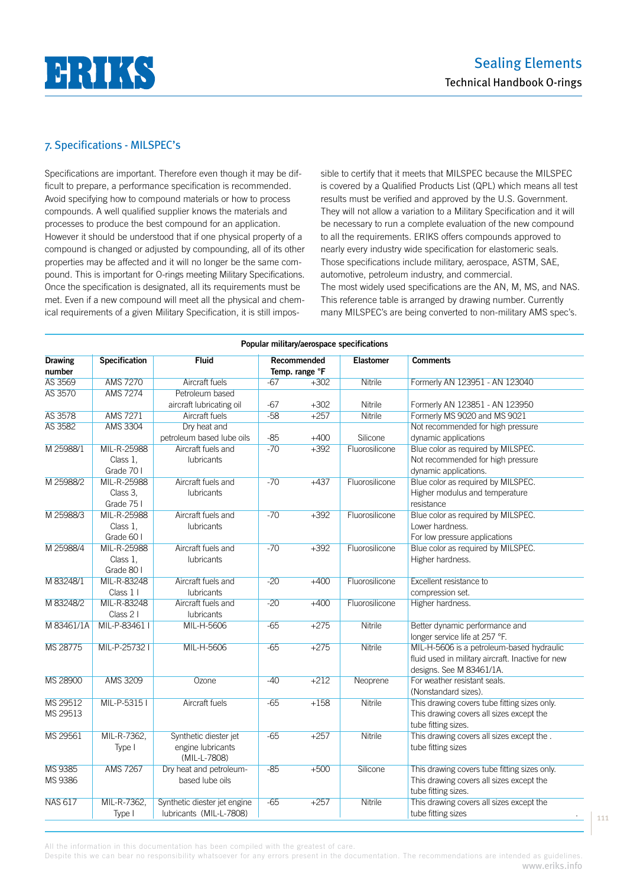

# 7. Specifications - MILSPEC's

Specifications are important. Therefore even though it may be difficult to prepare, a performance specification is recommended. Avoid specifying how to compound materials or how to process compounds. A well qualified supplier knows the materials and processes to produce the best compound for an application. However it should be understood that if one physical property of a compound is changed or adjusted by compounding, all of its other properties may be affected and it will no longer be the same compound. This is important for O-rings meeting Military Specifications. Once the specification is designated, all its requirements must be met. Even if a new compound will meet all the physical and chemical requirements of a given Military Specification, it is still impossible to certify that it meets that MILSPEC because the MILSPEC is covered by a Qualified Products List (QPL) which means all test results must be verified and approved by the U.S. Government. They will not allow a variation to a Military Specification and it will be necessary to run a complete evaluation of the new compound to all the requirements. ERIKS offers compounds approved to nearly every industry wide specification for elastomeric seals. Those specifications include military, aerospace, ASTM, SAE, automotive, petroleum industry, and commercial. The most widely used specifications are the AN, M, MS, and NAS. This reference table is arranged by drawing number. Currently many MILSPEC's are being converted to non-military AMS spec's. 

| Popular military/aerospace specifications |                                       |                                                            |                               |        |                  |                                                                                                                            |  |  |
|-------------------------------------------|---------------------------------------|------------------------------------------------------------|-------------------------------|--------|------------------|----------------------------------------------------------------------------------------------------------------------------|--|--|
| <b>Drawing</b><br>number                  | Specification                         | <b>Fluid</b>                                               | Recommended<br>Temp. range °F |        | <b>Elastomer</b> | <b>Comments</b>                                                                                                            |  |  |
| AS 3569                                   | <b>AMS 7270</b>                       | Aircraft fuels                                             | $-67$                         | $+302$ | Nitrile          | Formerly AN 123951 - AN 123040                                                                                             |  |  |
| <b>AS 3570</b>                            | <b>AMS 7274</b>                       | Petroleum based                                            |                               |        |                  |                                                                                                                            |  |  |
|                                           |                                       | aircraft lubricating oil                                   | -67                           | $+302$ | Nitrile          | Formerly AN 123851 - AN 123950                                                                                             |  |  |
| <b>AS 3578</b>                            | <b>AMS 7271</b>                       | Aircraft fuels                                             | $-58$                         | $+257$ | <b>Nitrile</b>   | Formerly MS 9020 and MS 9021                                                                                               |  |  |
| <b>AS 3582</b>                            | <b>AMS 3304</b>                       | Dry heat and                                               |                               |        |                  | Not recommended for high pressure                                                                                          |  |  |
|                                           |                                       | petroleum based lube oils                                  | $-85$                         | $+400$ | Silicone         | dynamic applications                                                                                                       |  |  |
| M 25988/1                                 | MIL-R-25988<br>Class 1,               | Aircraft fuels and<br>lubricants                           | $-70$                         | $+392$ | Fluorosilicone   | Blue color as required by MILSPEC.<br>Not recommended for high pressure                                                    |  |  |
|                                           | Grade 70 I                            |                                                            |                               |        |                  | dynamic applications.                                                                                                      |  |  |
| M 25988/2                                 | MIL-R-25988<br>Class 3,<br>Grade 75 I | Aircraft fuels and<br><b>lubricants</b>                    | $-70$                         | $+437$ | Fluorosilicone   | Blue color as required by MILSPEC.<br>Higher modulus and temperature<br>resistance                                         |  |  |
| M 25988/3                                 | MIL-R-25988<br>Class 1,<br>Grade 60 I | Aircraft fuels and<br><b>lubricants</b>                    | $-70$                         | $+392$ | Fluorosilicone   | Blue color as required by MILSPEC.<br>Lower hardness.<br>For low pressure applications                                     |  |  |
| M 25988/4                                 | MIL-R-25988<br>Class 1.<br>Grade 80 I | Aircraft fuels and<br><b>lubricants</b>                    | $-70$                         | $+392$ | Fluorosilicone   | Blue color as required by MILSPEC.<br>Higher hardness.                                                                     |  |  |
| M 83248/1                                 | MIL-R-83248                           | Aircraft fuels and                                         | $-20$                         | $+400$ | Fluorosilicone   | Excellent resistance to                                                                                                    |  |  |
|                                           | Class 1 I                             | <b>lubricants</b>                                          |                               |        |                  | compression set.                                                                                                           |  |  |
| M 83248/2                                 | MIL-R-83248                           | Aircraft fuels and                                         | $-20$                         | $+400$ | Fluorosilicone   | Higher hardness.                                                                                                           |  |  |
|                                           | Class 2 I                             | <b>lubricants</b>                                          |                               |        |                  |                                                                                                                            |  |  |
| M 83461/1A                                | MIL-P-83461 I                         | MIL-H-5606                                                 | $-65$                         | $+275$ | <b>Nitrile</b>   | Better dynamic performance and<br>longer service life at 257 °F.                                                           |  |  |
| MS 28775                                  | MIL-P-257321                          | MIL-H-5606                                                 | $-65$                         | $+275$ | <b>Nitrile</b>   | MIL-H-5606 is a petroleum-based hydraulic<br>fluid used in military aircraft. Inactive for new<br>designs. See M 83461/1A. |  |  |
| MS 28900                                  | AMS 3209                              | Ozone                                                      | $-40$                         | $+212$ | Neoprene         | For weather resistant seals.<br>(Nonstandard sizes).                                                                       |  |  |
| MS 29512<br>MS 29513                      | MIL-P-53151                           | <b>Aircraft fuels</b>                                      | $-65$                         | $+158$ | <b>Nitrile</b>   | This drawing covers tube fitting sizes only.<br>This drawing covers all sizes except the<br>tube fitting sizes.            |  |  |
| MS 29561                                  | MIL-R-7362,<br>Type I                 | Synthetic diester jet<br>engine lubricants<br>(MIL-L-7808) | $-65$                         | $+257$ | <b>Nitrile</b>   | This drawing covers all sizes except the.<br>tube fitting sizes                                                            |  |  |
| <b>MS 9385</b><br>MS 9386                 | <b>AMS 7267</b>                       | Dry heat and petroleum-<br>based lube oils                 | $-85$                         | $+500$ | Silicone         | This drawing covers tube fitting sizes only.<br>This drawing covers all sizes except the<br>tube fitting sizes.            |  |  |
| <b>NAS 617</b>                            | MIL-R-7362.<br>Type I                 | Synthetic diester jet engine<br>lubricants (MIL-L-7808)    | $-65$                         | $+257$ | <b>Nitrile</b>   | This drawing covers all sizes except the<br>tube fitting sizes                                                             |  |  |

All the information in this documentation has been compiled with the greatest of care.

Despite this we can bear no responsibility whatsoever for any errors present in the documentation. The recommendations are intended as guidelines. www.eriks.info

111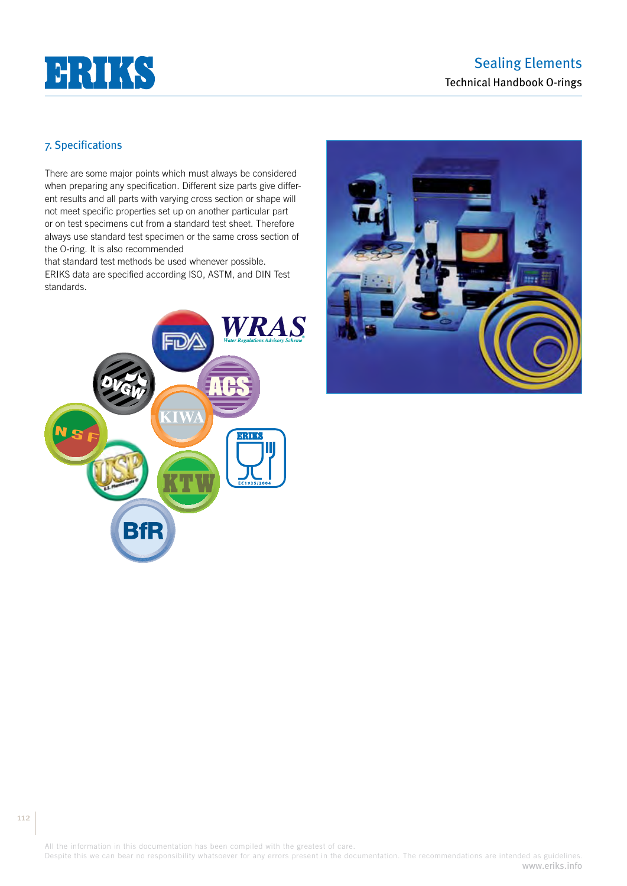

# 7. Specifications

There are some major points which must always be considered when preparing any specification. Different size parts give different results and all parts with varying cross section or shape will not meet specific properties set up on another particular part or on test specimens cut from a standard test sheet. Therefore always use standard test specimen or the same cross section of the O-ring. It is also recommended

that standard test methods be used whenever possible. ERIKS data are specified according ISO, ASTM, and DIN Test standards.





All the information in this documentation has been compiled with the greatest of care.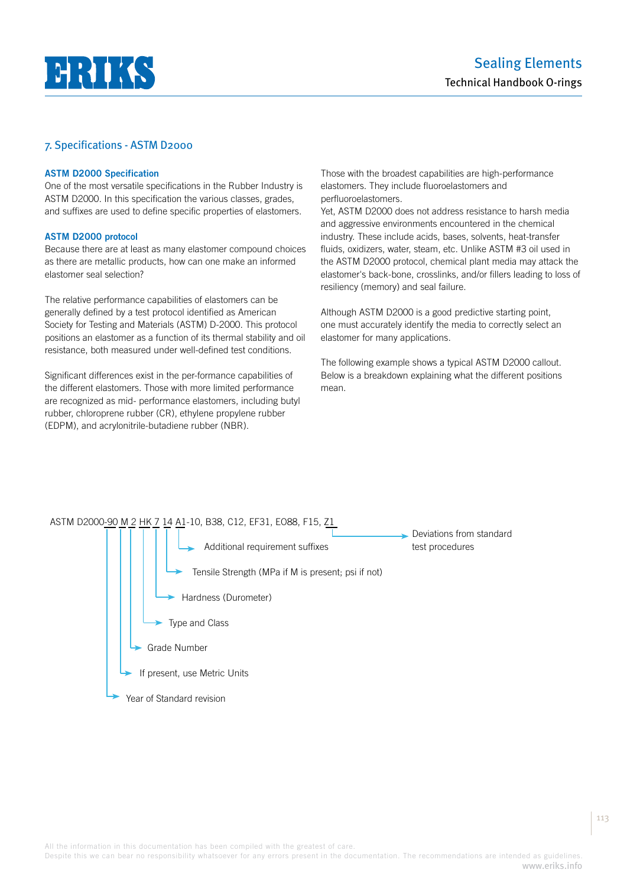# **HHIK**

## 7. Specifications - ASTM D2000

#### **ASTM D2000 Specification**

One of the most versatile specifications in the Rubber Industry is ASTM D2000. In this specification the various classes, grades, and suffixes are used to define specific properties of elastomers.

#### **ASTM D2000 protocol**

Because there are at least as many elastomer compound choices as there are metallic products, how can one make an informed elastomer seal selection?

The relative performance capabilities of elastomers can be generally defined by a test protocol identified as American Society for Testing and Materials (ASTM) D-2000. This protocol positions an elastomer as a function of its thermal stability and oil resistance, both measured under well-defined test conditions.

Significant differences exist in the per-formance capabilities of the different elastomers. Those with more limited performance are recognized as mid- performance elastomers, including butyl rubber, chloroprene rubber (CR), ethylene propylene rubber (EDPM), and acrylonitrile-butadiene rubber (NBR).

Those with the broadest capabilities are high-performance elastomers. They include fluoroelastomers and perfluoroelastomers.

Yet, ASTM D2000 does not address resistance to harsh media and aggressive environments encountered in the chemical industry. These include acids, bases, solvents, heat-transfer fluids, oxidizers, water, steam, etc. Unlike ASTM #3 oil used in the ASTM D2000 protocol, chemical plant media may attack the elastomer's back-bone, crosslinks, and/or fillers leading to loss of resiliency (memory) and seal failure.

Although ASTM D2000 is a good predictive starting point, one must accurately identify the media to correctly select an elastomer for many applications.

The following example shows a typical ASTM D2000 callout. Below is a breakdown explaining what the different positions mean.

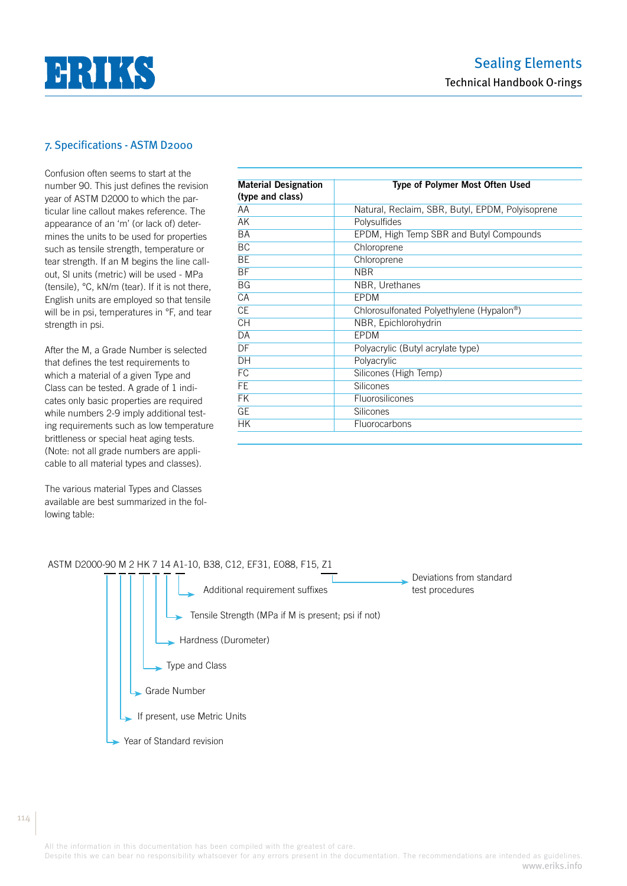

# 7. Specifications - ASTM D2000

Confusion often seems to start at the number 90. This just defines the revision year of ASTM D2000 to which the particular line callout makes reference. The appearance of an 'm' (or lack of) determines the units to be used for properties such as tensile strength, temperature or tear strength. If an M begins the line callout, Sl units (metric) will be used - MPa (tensile), °C, kN/m (tear). If it is not there, English units are employed so that tensile will be in psi, temperatures in °F, and tear strength in psi.

After the M, a Grade Number is selected that defines the test requirements to which a material of a given Type and Class can be tested. A grade of 1 indicates only basic properties are required while numbers 2-9 imply additional testing requirements such as low temperature brittleness or special heat aging tests. (Note: not all grade numbers are applicable to all material types and classes).

The various material Types and Classes available are best summarized in the following table:

| <b>Material Designation</b> | <b>Type of Polymer Most Often Used</b>           |  |  |  |  |
|-----------------------------|--------------------------------------------------|--|--|--|--|
| (type and class)            |                                                  |  |  |  |  |
| AA                          | Natural, Reclaim, SBR, Butyl, EPDM, Polyisoprene |  |  |  |  |
| AK                          | Polysulfides                                     |  |  |  |  |
| <b>BA</b>                   | EPDM, High Temp SBR and Butyl Compounds          |  |  |  |  |
| BC                          | Chloroprene                                      |  |  |  |  |
| <b>BE</b>                   | Chloroprene                                      |  |  |  |  |
| <b>BF</b>                   | <b>NBR</b>                                       |  |  |  |  |
| <b>BG</b>                   | NBR, Urethanes                                   |  |  |  |  |
| CA                          | <b>EPDM</b>                                      |  |  |  |  |
| <b>CE</b>                   | Chlorosulfonated Polyethylene (Hypalon®)         |  |  |  |  |
| <b>CH</b>                   | NBR, Epichlorohydrin                             |  |  |  |  |
| DA                          | <b>EPDM</b>                                      |  |  |  |  |
| DF                          | Polyacrylic (Butyl acrylate type)                |  |  |  |  |
| DH                          | Polyacrylic                                      |  |  |  |  |
| FC                          | Silicones (High Temp)                            |  |  |  |  |
| FE                          | <b>Silicones</b>                                 |  |  |  |  |
| <b>FK</b>                   | Fluorosilicones                                  |  |  |  |  |
| <b>GE</b>                   | Silicones                                        |  |  |  |  |
| <b>HK</b>                   | Fluorocarbons                                    |  |  |  |  |



All the information in this documentation has been compiled with the greatest of care.

Despite this we can bear no responsibility whatsoever for any errors present in the documentation. The recommendations are intended as guidelines. www.eriks.info